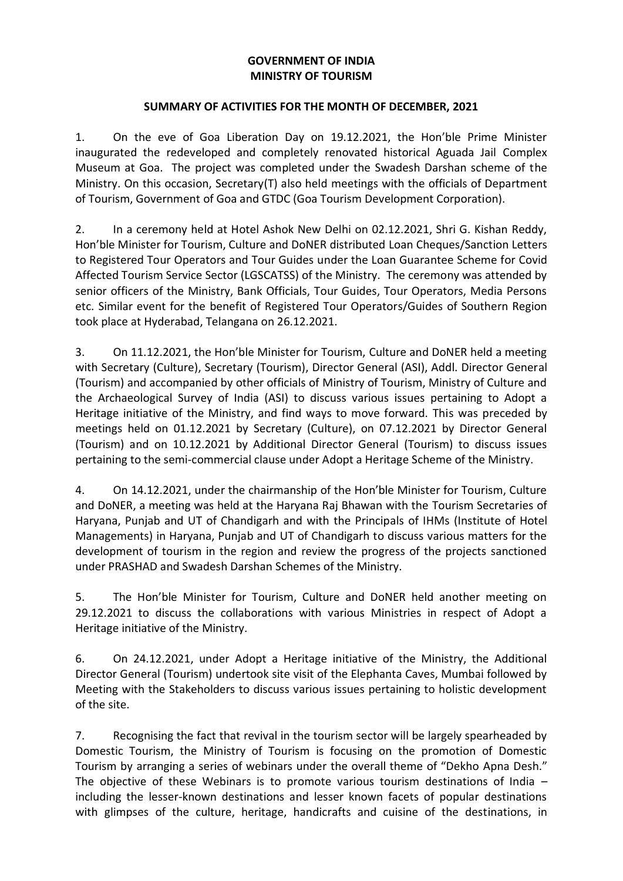## **GOVERNMENT OF INDIA MINISTRY OF TOURISM**

## **SUMMARY OF ACTIVITIES FOR THE MONTH OF DECEMBER, 2021**

1. On the eve of Goa Liberation Day on 19.12.2021, the Hon'ble Prime Minister inaugurated the redeveloped and completely renovated historical Aguada Jail Complex Museum at Goa. The project was completed under the Swadesh Darshan scheme of the Ministry. On this occasion, Secretary(T) also held meetings with the officials of Department of Tourism, Government of Goa and GTDC (Goa Tourism Development Corporation).

2. In a ceremony held at Hotel Ashok New Delhi on 02.12.2021, Shri G. Kishan Reddy, Hon'ble Minister for Tourism, Culture and DoNER distributed Loan Cheques/Sanction Letters to Registered Tour Operators and Tour Guides under the Loan Guarantee Scheme for Covid Affected Tourism Service Sector (LGSCATSS) of the Ministry. The ceremony was attended by senior officers of the Ministry, Bank Officials, Tour Guides, Tour Operators, Media Persons etc. Similar event for the benefit of Registered Tour Operators/Guides of Southern Region took place at Hyderabad, Telangana on 26.12.2021.

3. On 11.12.2021, the Hon'ble Minister for Tourism, Culture and DoNER held a meeting with Secretary (Culture), Secretary (Tourism), Director General (ASI), Addl. Director General (Tourism) and accompanied by other officials of Ministry of Tourism, Ministry of Culture and the Archaeological Survey of India (ASI) to discuss various issues pertaining to Adopt a Heritage initiative of the Ministry, and find ways to move forward. This was preceded by meetings held on 01.12.2021 by Secretary (Culture), on 07.12.2021 by Director General (Tourism) and on 10.12.2021 by Additional Director General (Tourism) to discuss issues pertaining to the semi-commercial clause under Adopt a Heritage Scheme of the Ministry.

4. On 14.12.2021, under the chairmanship of the Hon'ble Minister for Tourism, Culture and DoNER, a meeting was held at the Haryana Raj Bhawan with the Tourism Secretaries of Haryana, Punjab and UT of Chandigarh and with the Principals of IHMs (Institute of Hotel Managements) in Haryana, Punjab and UT of Chandigarh to discuss various matters for the development of tourism in the region and review the progress of the projects sanctioned under PRASHAD and Swadesh Darshan Schemes of the Ministry.

5. The Hon'ble Minister for Tourism, Culture and DoNER held another meeting on 29.12.2021 to discuss the collaborations with various Ministries in respect of Adopt a Heritage initiative of the Ministry.

6. On 24.12.2021, under Adopt a Heritage initiative of the Ministry, the Additional Director General (Tourism) undertook site visit of the Elephanta Caves, Mumbai followed by Meeting with the Stakeholders to discuss various issues pertaining to holistic development of the site.

7. Recognising the fact that revival in the tourism sector will be largely spearheaded by Domestic Tourism, the Ministry of Tourism is focusing on the promotion of Domestic Tourism by arranging a series of webinars under the overall theme of "Dekho Apna Desh." The objective of these Webinars is to promote various tourism destinations of India – including the lesser-known destinations and lesser known facets of popular destinations with glimpses of the culture, heritage, handicrafts and cuisine of the destinations, in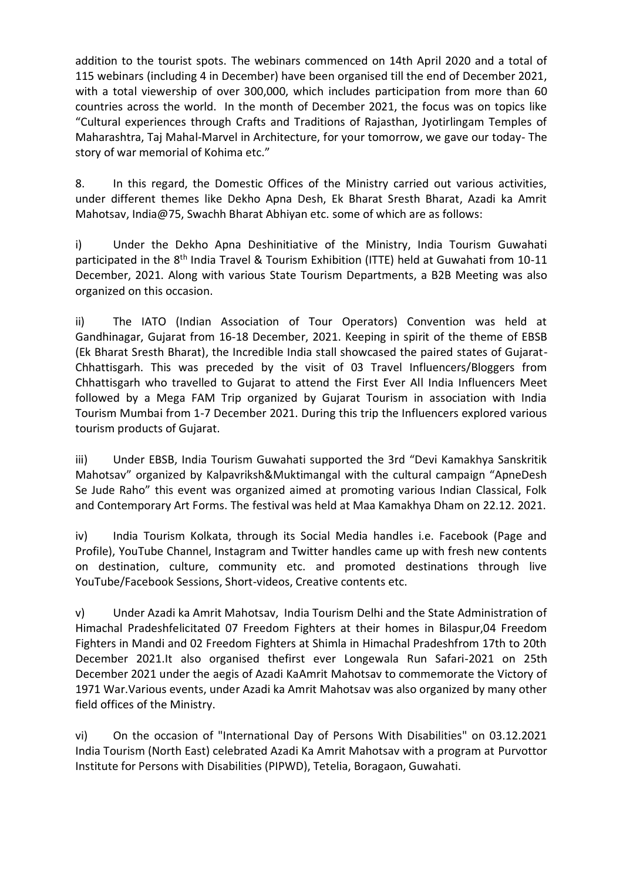addition to the tourist spots. The webinars commenced on 14th April 2020 and a total of 115 webinars (including 4 in December) have been organised till the end of December 2021, with a total viewership of over 300,000, which includes participation from more than 60 countries across the world. In the month of December 2021, the focus was on topics like "Cultural experiences through Crafts and Traditions of Rajasthan, Jyotirlingam Temples of Maharashtra, Taj Mahal-Marvel in Architecture, for your tomorrow, we gave our today- The story of war memorial of Kohima etc."

8. In this regard, the Domestic Offices of the Ministry carried out various activities, under different themes like Dekho Apna Desh, Ek Bharat Sresth Bharat, Azadi ka Amrit Mahotsav, India@75, Swachh Bharat Abhiyan etc. some of which are as follows:

i) Under the Dekho Apna Deshinitiative of the Ministry, India Tourism Guwahati participated in the 8<sup>th</sup> India Travel & Tourism Exhibition (ITTE) held at Guwahati from 10-11 December, 2021. Along with various State Tourism Departments, a B2B Meeting was also organized on this occasion.

ii) The IATO (Indian Association of Tour Operators) Convention was held at Gandhinagar, Gujarat from 16-18 December, 2021. Keeping in spirit of the theme of EBSB (Ek Bharat Sresth Bharat), the Incredible India stall showcased the paired states of Gujarat-Chhattisgarh. This was preceded by the visit of 03 Travel Influencers/Bloggers from Chhattisgarh who travelled to Gujarat to attend the First Ever All India Influencers Meet followed by a Mega FAM Trip organized by Gujarat Tourism in association with India Tourism Mumbai from 1-7 December 2021. During this trip the Influencers explored various tourism products of Gujarat.

iii) Under EBSB, India Tourism Guwahati supported the 3rd "Devi Kamakhya Sanskritik Mahotsav" organized by Kalpavriksh&Muktimangal with the cultural campaign "ApneDesh Se Jude Raho" this event was organized aimed at promoting various Indian Classical, Folk and Contemporary Art Forms. The festival was held at Maa Kamakhya Dham on 22.12. 2021.

iv) India Tourism Kolkata, through its Social Media handles i.e. Facebook (Page and Profile), YouTube Channel, Instagram and Twitter handles came up with fresh new contents on destination, culture, community etc. and promoted destinations through live YouTube/Facebook Sessions, Short-videos, Creative contents etc.

v) Under Azadi ka Amrit Mahotsav, India Tourism Delhi and the State Administration of Himachal Pradeshfelicitated 07 Freedom Fighters at their homes in Bilaspur,04 Freedom Fighters in Mandi and 02 Freedom Fighters at Shimla in Himachal Pradeshfrom 17th to 20th December 2021.It also organised thefirst ever Longewala Run Safari-2021 on 25th December 2021 under the aegis of Azadi KaAmrit Mahotsav to commemorate the Victory of 1971 War.Various events, under Azadi ka Amrit Mahotsav was also organized by many other field offices of the Ministry.

vi) On the occasion of "International Day of Persons With Disabilities" on 03.12.2021 India Tourism (North East) celebrated Azadi Ka Amrit Mahotsav with a program at Purvottor Institute for Persons with Disabilities (PIPWD), Tetelia, Boragaon, Guwahati.